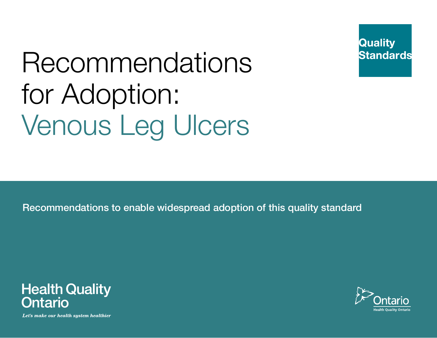

# Recommendations for Adoption: Venous Leg Ulcers

Recommendations to enable widespread adoption of this quality standard



Let's make our health system healthier

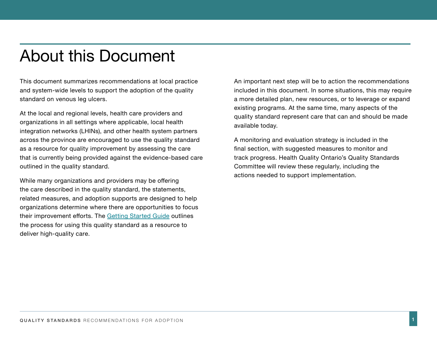# About this Document

This document summarizes recommendations at local practice and system-wide levels to support the adoption of the quality standard on venous leg ulcers.

At the local and regional levels, health care providers and organizations in all settings where applicable, local health integration networks (LHINs), and other health system partners across the province are encouraged to use the quality standard as a resource for quality improvement by assessing the care that is currently being provided against the evidence-based care outlined in the quality standard.

While many organizations and providers may be offering the care described in the quality standard, the statements, related measures, and adoption supports are designed to help organizations determine where there are opportunities to focus their improvement efforts. The [Getting Started Guide](http://www.hqontario.ca/portals/0/documents/evidence/quality-standards/getting-started-guide-en.pdf) outlines the process for using this quality standard as a resource to deliver high-quality care.

An important next step will be to action the recommendations included in this document. In some situations, this may require a more detailed plan, new resources, or to leverage or expand existing programs. At the same time, many aspects of the quality standard represent care that can and should be made available today.

A monitoring and evaluation strategy is included in the final section, with suggested measures to monitor and track progress. Health Quality Ontario's Quality Standards Committee will review these regularly, including the actions needed to support implementation.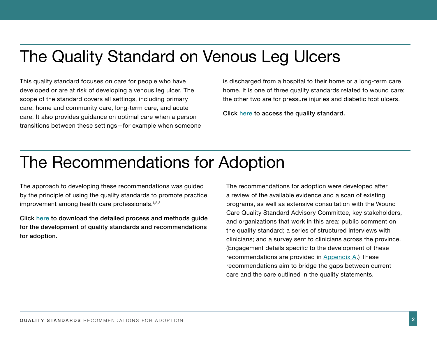# The Quality Standard on Venous Leg Ulcers

This quality standard focuses on care for people who have developed or are at risk of developing a venous leg ulcer. The scope of the standard covers all settings, including primary care, home and community care, long-term care, and acute care. It also provides guidance on optimal care when a person transitions between these settings—for example when someone is discharged from a hospital to their home or a long-term care home. It is one of three quality standards related to wound care; the other two are for pressure injuries and diabetic foot ulcers.

Click [here](http://www.hqontario.ca/Portals/0/documents/evidence/quality-standards/QS_ENG_VLU_CPG_v4_AODA.pdf) to access the quality standard.

# The Recommendations for Adoption

The approach to developing these recommendations was guided by the principle of using the quality standards to promote practice improvement among health care professionals.<sup>1,2,3</sup>

Click [here](http://www.hqontario.ca/portals/0/documents/evidence/quality-standards/qs-process-guide-en.pdf) to download the detailed process and methods guide for the development of quality standards and recommendations for adoption.

The recommendations for adoption were developed after a review of the available evidence and a scan of existing programs, as well as extensive consultation with the Wound Care Quality Standard Advisory Committee, key stakeholders, and organizations that work in this area; public comment on the quality standard; a series of structured interviews with clinicians; and a survey sent to clinicians across the province. (Engagement details specific to the development of these recommendations are provided in [Appendix A](#page-15-0).) These recommendations aim to bridge the gaps between current care and the care outlined in the quality statements.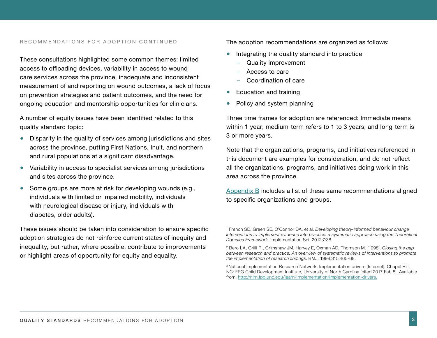#### RECOMMENDATIONS FOR ADOPTION CONTINUED

These consultations highlighted some common themes: limited access to offloading devices, variability in access to wound care services across the province, inadequate and inconsistent measurement of and reporting on wound outcomes, a lack of focus on prevention strategies and patient outcomes, and the need for ongoing education and mentorship opportunities for clinicians.

A number of equity issues have been identified related to this quality standard topic:

- Disparity in the quality of services among jurisdictions and sites across the province, putting First Nations, Inuit, and northern and rural populations at a significant disadvantage.
- Variability in access to specialist services among jurisdictions and sites across the province.
- Some groups are more at risk for developing wounds (e.g., individuals with limited or impaired mobility, individuals with neurological disease or injury, individuals with diabetes, older adults).

These issues should be taken into consideration to ensure specific adoption strategies do not reinforce current states of inequity and inequality, but rather, where possible, contribute to improvements or highlight areas of opportunity for equity and equality.

The adoption recommendations are organized as follows:

- Integrating the quality standard into practice
	- Quality improvement
	- Access to care
	- Coordination of care
- Education and training
- Policy and system planning

Three time frames for adoption are referenced: Immediate means within 1 year; medium-term refers to 1 to 3 years; and long-term is 3 or more years.

Note that the organizations, programs, and initiatives referenced in this document are examples for consideration, and do not reflect all the organizations, programs, and initiatives doing work in this area across the province.

[Appendix B](#page-15-0) includes a list of these same recommendations aligned to specific organizations and groups.

<sup>1</sup> French SD, Green SE, O'Connor DA, et al. *Developing theory-informed behaviour change interventions to implement evidence into practice: a systematic approach using the Theoretical Domains Framework.* Implementation Sci. 2012;7:38.

<sup>2</sup> Bero LA, Grilli R., Grimshaw JM, Harvey E, Oxman AD, Thomson M. (1998). *Closing the gap between research and practice: An overview of systematic reviews of interventions to promote the implementation of research findings*. BMJ. 1998;315:465-68.

<sup>&</sup>lt;sup>3</sup> National Implementation Research Network. Implementation drivers [Internet]. Chapel Hill, NC: FPG Child Development Institute, University of North Carolina [cited 2017 Feb 8]. Available from: [http://nirn.fpg.unc.edu/learn-implementation/implementation-drivers.](http://nirn.fpg.unc.edu/learn-implementation/implementation-drivers )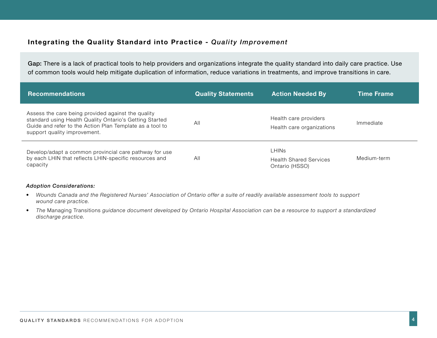### **Integrating the Quality Standard into Practice -** *Quality Improvement*

Gap: There is a lack of practical tools to help providers and organizations integrate the quality standard into daily care practice. Use of common tools would help mitigate duplication of information, reduce variations in treatments, and improve transitions in care.

| <b>Recommendations</b>                                                                                                                                                                                    | <b>Quality Statements</b> | <b>Action Needed By</b>                                         | <b>Time Frame</b> |
|-----------------------------------------------------------------------------------------------------------------------------------------------------------------------------------------------------------|---------------------------|-----------------------------------------------------------------|-------------------|
| Assess the care being provided against the quality<br>standard using Health Quality Ontario's Getting Started<br>Guide and refer to the Action Plan Template as a tool to<br>support quality improvement. | All                       | Health care providers<br>Health care organizations              | Immediate         |
| Develop/adapt a common provincial care pathway for use<br>by each LHIN that reflects LHIN-specific resources and<br>capacity                                                                              | All                       | <b>LHINS</b><br><b>Health Shared Services</b><br>Ontario (HSSO) | Medium-term       |

- *• Wounds Canada and the Registered Nurses' Association of Ontario offer a suite of readily available assessment tools to support wound care practice.*
- *• The* Managing Transitions *guidance document developed by Ontario Hospital Association can be a resource to support a standardized discharge practice.*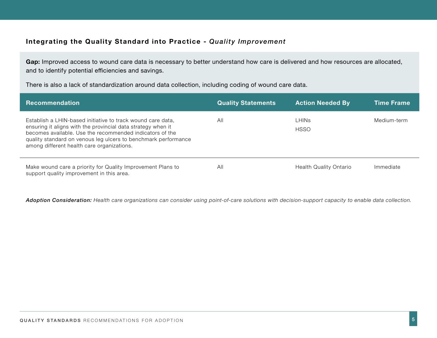### **Integrating the Quality Standard into Practice -** *Quality Improvement*

Gap: Improved access to wound care data is necessary to better understand how care is delivered and how resources are allocated, and to identify potential efficiencies and savings.

There is also a lack of standardization around data collection, including coding of wound care data.

| <b>Recommendation</b>                                                                                                                                                                                                                                                                                   | <b>Quality Statements</b> | <b>Action Needed By</b>       | <b>Time Frame</b> |
|---------------------------------------------------------------------------------------------------------------------------------------------------------------------------------------------------------------------------------------------------------------------------------------------------------|---------------------------|-------------------------------|-------------------|
| Establish a LHIN-based initiative to track wound care data,<br>ensuring it aligns with the provincial data strategy when it<br>becomes available. Use the recommended indicators of the<br>quality standard on venous leg ulcers to benchmark performance<br>among different health care organizations. | All                       | LHINs<br><b>HSSO</b>          | Medium-term       |
| Make wound care a priority for Quality Improvement Plans to<br>support quality improvement in this area.                                                                                                                                                                                                | All                       | <b>Health Quality Ontario</b> | Immediate         |

*Adoption Consideration: Health care organizations can consider using point-of-care solutions with decision-support capacity to enable data collection.*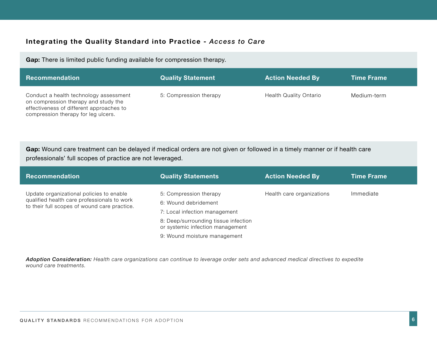### **Integrating the Quality Standard into Practice -** *Access to Care*

**Gap:** There is limited public funding available for compression therapy.

| <b>Recommendation</b>                                                                                                                                             | <b>Quality Statement</b> | <b>Action Needed By</b>       | <b>Time Frame</b> |
|-------------------------------------------------------------------------------------------------------------------------------------------------------------------|--------------------------|-------------------------------|-------------------|
| Conduct a health technology assessment<br>on compression therapy and study the<br>effectiveness of different approaches to<br>compression therapy for leg ulcers. | 5: Compression therapy   | <b>Health Quality Ontario</b> | Medium-term       |

**Gap:** Wound care treatment can be delayed if medical orders are not given or followed in a timely manner or if health care professionals' full scopes of practice are not leveraged.

| Recommendation                                                                              | <b>Quality Statements</b>                                                | <b>Action Needed By</b>   | <b>Time Frame</b> |
|---------------------------------------------------------------------------------------------|--------------------------------------------------------------------------|---------------------------|-------------------|
| Update organizational policies to enable                                                    | 5: Compression therapy                                                   | Health care organizations | Immediate         |
| qualified health care professionals to work<br>to their full scopes of wound care practice. | 6: Wound debridement                                                     |                           |                   |
|                                                                                             | 7: Local infection management                                            |                           |                   |
|                                                                                             | 8: Deep/surrounding tissue infection<br>or systemic infection management |                           |                   |
|                                                                                             | 9: Wound moisture management                                             |                           |                   |

*Adoption Consideration: Health care organizations can continue to leverage order sets and advanced medical directives to expedite wound care treatments.*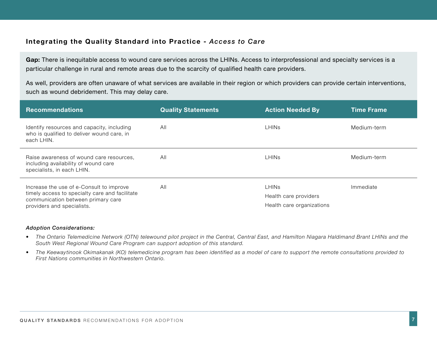### **Integrating the Quality Standard into Practice -** *Access to Care*

Gap: There is inequitable access to wound care services across the LHINs. Access to interprofessional and specialty services is a particular challenge in rural and remote areas due to the scarcity of qualified health care providers.

As well, providers are often unaware of what services are available in their region or which providers can provide certain interventions, such as wound debridement. This may delay care.

| <b>Recommendations</b>                                                                                                                                         | <b>Quality Statements</b> | <b>Action Needed By</b>                                            | <b>Time Frame</b> |
|----------------------------------------------------------------------------------------------------------------------------------------------------------------|---------------------------|--------------------------------------------------------------------|-------------------|
| Identify resources and capacity, including<br>who is qualified to deliver wound care, in<br>each LHIN.                                                         | All                       | <b>LHINS</b>                                                       | Medium-term       |
| Raise awareness of wound care resources,<br>including availability of wound care<br>specialists, in each LHIN.                                                 | All                       | <b>LHINS</b>                                                       | Medium-term       |
| Increase the use of e-Consult to improve<br>timely access to specialty care and facilitate<br>communication between primary care<br>providers and specialists. | All                       | <b>LHINS</b><br>Health care providers<br>Health care organizations | Immediate         |

- The Ontario Telemedicine Network (OTN) telewound pilot project in the Central, Central East, and Hamilton Niagara Haldimand Brant LHINs and the *South West Regional Wound Care Program can support adoption of this standard.*
- The Keewaytinook Okimakanak (KO) telemedicine program has been identified as a model of care to support the remote consultations provided to *First Nations communities in Northwestern Ontario.*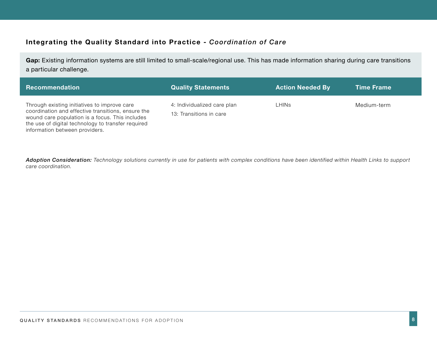# **Integrating the Quality Standard into Practice -** *Coordination of Care*

Gap: Existing information systems are still limited to small-scale/regional use. This has made information sharing during care transitions a particular challenge.

| <b>Recommendation</b>                                                                                                                                                                                                                         | <b>Quality Statements</b>                              | <b>Action Needed By</b> | <b>Time Frame</b> |
|-----------------------------------------------------------------------------------------------------------------------------------------------------------------------------------------------------------------------------------------------|--------------------------------------------------------|-------------------------|-------------------|
| Through existing initiatives to improve care<br>coordination and effective transitions, ensure the<br>wound care population is a focus. This includes<br>the use of digital technology to transfer required<br>information between providers. | 4: Individualized care plan<br>13: Transitions in care | <b>LHINS</b>            | Medium-term       |

*Adoption Consideration: Technology solutions currently in use for patients with complex conditions have been identified within Health Links to support care coordination.*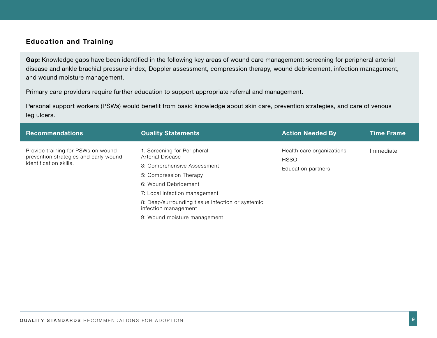# **Education and Training**

**Gap:** Knowledge gaps have been identified in the following key areas of wound care management: screening for peripheral arterial disease and ankle brachial pressure index, Doppler assessment, compression therapy, wound debridement, infection management, and wound moisture management.

Primary care providers require further education to support appropriate referral and management.

Personal support workers (PSWs) would benefit from basic knowledge about skin care, prevention strategies, and care of venous leg ulcers.

| <b>Recommendations</b>                                                                                | <b>Quality Statements</b>                                                                                                                                                                                                                                                     | <b>Action Needed By</b>                                        | Time Frame |
|-------------------------------------------------------------------------------------------------------|-------------------------------------------------------------------------------------------------------------------------------------------------------------------------------------------------------------------------------------------------------------------------------|----------------------------------------------------------------|------------|
| Provide training for PSWs on wound<br>prevention strategies and early wound<br>identification skills. | 1: Screening for Peripheral<br>Arterial Disease<br>3: Comprehensive Assessment<br>5: Compression Therapy<br>6: Wound Debridement<br>7: Local infection management<br>8: Deep/surrounding tissue infection or systemic<br>infection management<br>9: Wound moisture management | Health care organizations<br><b>HSSO</b><br>Education partners | Immediate  |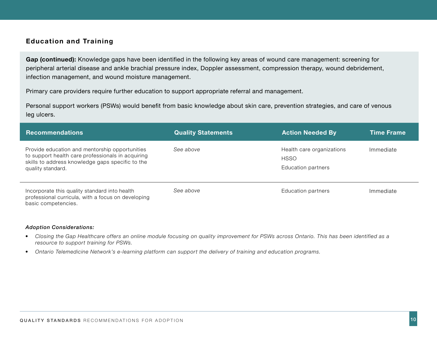### **Education and Training**

**Gap (continued):** Knowledge gaps have been identified in the following key areas of wound care management: screening for peripheral arterial disease and ankle brachial pressure index, Doppler assessment, compression therapy, wound debridement, infection management, and wound moisture management.

Primary care providers require further education to support appropriate referral and management.

Personal support workers (PSWs) would benefit from basic knowledge about skin care, prevention strategies, and care of venous leg ulcers.

| <b>Recommendations</b>                                                                                                                                                       | <b>Quality Statements</b> | <b>Action Needed By</b>                                        | <b>Time Frame</b> |
|------------------------------------------------------------------------------------------------------------------------------------------------------------------------------|---------------------------|----------------------------------------------------------------|-------------------|
| Provide education and mentorship opportunities<br>to support health care professionals in acquiring<br>skills to address knowledge gaps specific to the<br>quality standard. | See above                 | Health care organizations<br><b>HSSO</b><br>Education partners | Immediate         |
| Incorporate this quality standard into health<br>professional curricula, with a focus on developing<br>basic competencies.                                                   | See above                 | Education partners                                             | Immediate         |

- *• Closing the Gap Healthcare offers an online module focusing on quality improvement for PSWs across Ontario. This has been identified as a resource to support training for PSWs.*
- *• Ontario Telemedicine Network's e-learning platform can support the delivery of training and education programs.*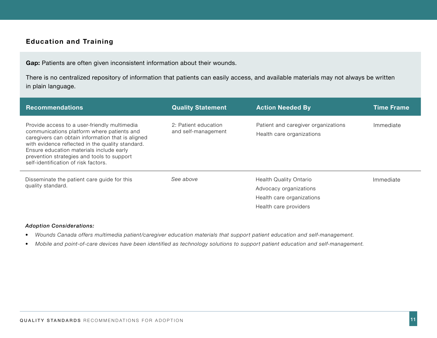# **Education and Training**

Gap: Patients are often given inconsistent information about their wounds.

There is no centralized repository of information that patients can easily access, and available materials may not always be written in plain language.

| <b>Recommendations</b>                                                                                                                                                                                                                                                                                                                | <b>Quality Statement</b>                    | <b>Action Needed By</b>                                                                                       | <b>Time Frame</b> |
|---------------------------------------------------------------------------------------------------------------------------------------------------------------------------------------------------------------------------------------------------------------------------------------------------------------------------------------|---------------------------------------------|---------------------------------------------------------------------------------------------------------------|-------------------|
| Provide access to a user-friendly multimedia<br>communications platform where patients and<br>caregivers can obtain information that is aligned<br>with evidence reflected in the quality standard.<br>Ensure education materials include early<br>prevention strategies and tools to support<br>self-identification of risk factors. | 2: Patient education<br>and self-management | Patient and caregiver organizations<br>Health care organizations                                              | Immediate         |
| Disseminate the patient care guide for this<br>quality standard.                                                                                                                                                                                                                                                                      | See above                                   | <b>Health Quality Ontario</b><br>Advocacy organizations<br>Health care organizations<br>Health care providers | Immediate         |

- *• Wounds Canada offers multimedia patient/caregiver education materials that support patient education and self-management.*
- *• Mobile and point-of-care devices have been identified as technology solutions to support patient education and self-management.*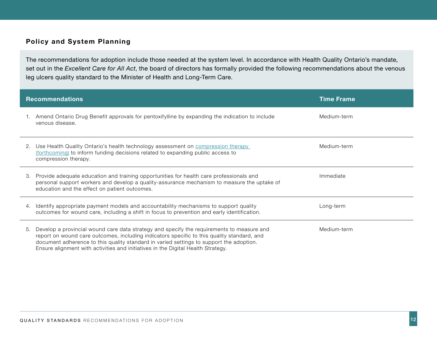# **Policy and System Planning**

The recommendations for adoption include those needed at the system level. In accordance with Health Quality Ontario's mandate, set out in the *Excellent Care for All Act*, the board of directors has formally provided the following recommendations about the venous leg ulcers quality standard to the Minister of Health and Long-Term Care.

|    | <b>Recommendations</b>                                                                                                                                                                                                                                                                                                                                                 | <b>Time Frame</b> |
|----|------------------------------------------------------------------------------------------------------------------------------------------------------------------------------------------------------------------------------------------------------------------------------------------------------------------------------------------------------------------------|-------------------|
| 1. | Amend Ontario Drug Benefit approvals for pentoxifylline by expanding the indication to include<br>venous disease.                                                                                                                                                                                                                                                      | Medium-term       |
| 2. | Use Health Quality Ontario's health technology assessment on compression therapy<br>(forthcoming) to inform funding decisions related to expanding public access to<br>compression therapy.                                                                                                                                                                            | Medium-term       |
| 3. | Provide adequate education and training opportunities for health care professionals and<br>personal support workers and develop a quality-assurance mechanism to measure the uptake of<br>education and the effect on patient outcomes.                                                                                                                                | Immediate         |
| 4. | Identify appropriate payment models and accountability mechanisms to support quality<br>outcomes for wound care, including a shift in focus to prevention and early identification.                                                                                                                                                                                    | Long-term         |
| 5. | Develop a provincial wound care data strategy and specify the requirements to measure and<br>report on wound care outcomes, including indicators specific to this quality standard, and<br>document adherence to this quality standard in varied settings to support the adoption.<br>Ensure alignment with activities and initiatives in the Digital Health Strategy. | Medium-term       |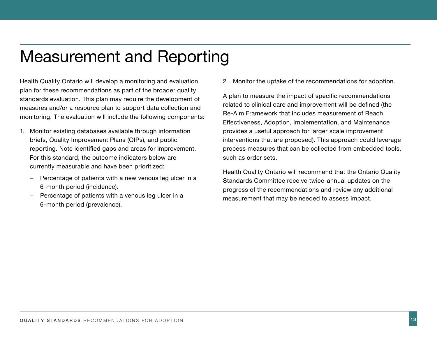# Measurement and Reporting

Health Quality Ontario will develop a monitoring and evaluation plan for these recommendations as part of the broader quality standards evaluation. This plan may require the development of measures and/or a resource plan to support data collection and monitoring. The evaluation will include the following components:

- 1. Monitor existing databases available through information briefs, Quality Improvement Plans (QIPs), and public reporting. Note identified gaps and areas for improvement. For this standard, the outcome indicators below are currently measurable and have been prioritized:
	- Percentage of patients with a new venous leg ulcer in a 6-month period (incidence).
	- Percentage of patients with a venous leg ulcer in a 6-month period (prevalence).

2. Monitor the uptake of the recommendations for adoption.

A plan to measure the impact of specific recommendations related to clinical care and improvement will be defined (the Re-Aim Framework that includes measurement of Reach, Effectiveness, Adoption, Implementation, and Maintenance provides a useful approach for larger scale improvement interventions that are proposed). This approach could leverage process measures that can be collected from embedded tools, such as order sets.

Health Quality Ontario will recommend that the Ontario Quality Standards Committee receive twice-annual updates on the progress of the recommendations and review any additional measurement that may be needed to assess impact.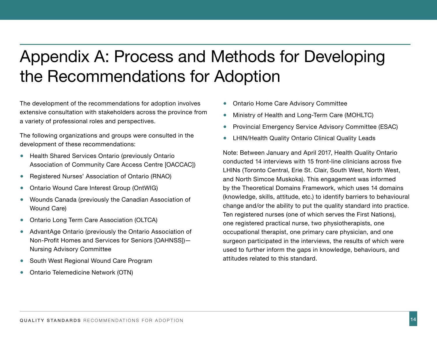# Appendix A: Process and Methods for Developing the Recommendations for Adoption

The development of the recommendations for adoption involves extensive consultation with stakeholders across the province from a variety of professional roles and perspectives.

The following organizations and groups were consulted in the development of these recommendations:

- Health Shared Services Ontario (previously Ontario Association of Community Care Access Centre [OACCAC])
- Registered Nurses' Association of Ontario (RNAO)
- Ontario Wound Care Interest Group (OntWIG)
- Wounds Canada (previously the Canadian Association of Wound Care)
- Ontario Long Term Care Association (OLTCA)
- AdvantAge Ontario (previously the Ontario Association of Non-Profit Homes and Services for Seniors [OAHNSS])— Nursing Advisory Committee
- South West Regional Wound Care Program
- Ontario Telemedicine Network (OTN)
- Ontario Home Care Advisory Committee
- Ministry of Health and Long-Term Care (MOHLTC)
- **Provincial Emergency Service Advisory Committee (ESAC)**
- LHIN/Health Quality Ontario Clinical Quality Leads

Note: Between January and April 2017, Health Quality Ontario conducted 14 interviews with 15 front-line clinicians across five LHINs (Toronto Central, Erie St. Clair, South West, North West, and North Simcoe Muskoka). This engagement was informed by the Theoretical Domains Framework, which uses 14 domains (knowledge, skills, attitude, etc.) to identify barriers to behavioural change and/or the ability to put the quality standard into practice. Ten registered nurses (one of which serves the First Nations), one registered practical nurse, two physiotherapists, one occupational therapist, one primary care physician, and one surgeon participated in the interviews, the results of which were used to further inform the gaps in knowledge, behaviours, and attitudes related to this standard.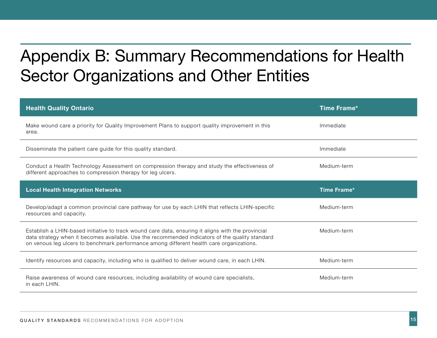# <span id="page-15-0"></span>Appendix B: Summary Recommendations for Health Sector Organizations and Other Entities

| <b>Health Quality Ontario</b>                                                                                                                                                                                                                                                                     | Time Frame*        |
|---------------------------------------------------------------------------------------------------------------------------------------------------------------------------------------------------------------------------------------------------------------------------------------------------|--------------------|
| Make wound care a priority for Quality Improvement Plans to support quality improvement in this<br>area.                                                                                                                                                                                          | Immediate          |
| Disseminate the patient care guide for this quality standard.                                                                                                                                                                                                                                     | Immediate          |
| Conduct a Health Technology Assessment on compression therapy and study the effectiveness of<br>different approaches to compression therapy for leg ulcers.                                                                                                                                       | Medium-term        |
| <b>Local Health Integration Networks</b>                                                                                                                                                                                                                                                          | <b>Time Frame*</b> |
|                                                                                                                                                                                                                                                                                                   |                    |
| Develop/adapt a common provincial care pathway for use by each LHIN that reflects LHIN-specific<br>resources and capacity.                                                                                                                                                                        | Medium-term        |
| Establish a LHIN-based initiative to track wound care data, ensuring it aligns with the provincial<br>data strategy when it becomes available. Use the recommended indicators of the quality standard<br>on venous leg ulcers to benchmark performance among different health care organizations. | Medium-term        |
| Identify resources and capacity, including who is qualified to deliver wound care, in each LHIN.                                                                                                                                                                                                  | Medium-term        |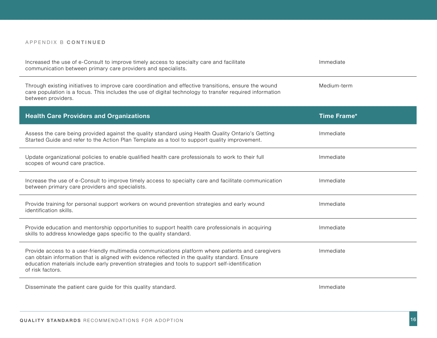#### APPENDIX B **CONTINUED**

| Increased the use of e-Consult to improve timely access to specialty care and facilitate<br>communication between primary care providers and specialists.                                                                                                                                                                    | Immediate   |
|------------------------------------------------------------------------------------------------------------------------------------------------------------------------------------------------------------------------------------------------------------------------------------------------------------------------------|-------------|
| Through existing initiatives to improve care coordination and effective transitions, ensure the wound<br>care population is a focus. This includes the use of digital technology to transfer required information<br>between providers.                                                                                      | Medium-term |
| <b>Health Care Providers and Organizations</b>                                                                                                                                                                                                                                                                               | Time Frame* |
| Assess the care being provided against the quality standard using Health Quality Ontario's Getting<br>Started Guide and refer to the Action Plan Template as a tool to support quality improvement.                                                                                                                          | Immediate   |
| Update organizational policies to enable qualified health care professionals to work to their full<br>scopes of wound care practice.                                                                                                                                                                                         | Immediate   |
| Increase the use of e-Consult to improve timely access to specialty care and facilitate communication<br>between primary care providers and specialists.                                                                                                                                                                     | Immediate   |
| Provide training for personal support workers on wound prevention strategies and early wound<br>identification skills.                                                                                                                                                                                                       | Immediate   |
| Provide education and mentorship opportunities to support health care professionals in acquiring<br>skills to address knowledge gaps specific to the quality standard.                                                                                                                                                       | Immediate   |
| Provide access to a user-friendly multimedia communications platform where patients and caregivers<br>can obtain information that is aligned with evidence reflected in the quality standard. Ensure<br>education materials include early prevention strategies and tools to support self-identification<br>of risk factors. | Immediate   |
| Disseminate the patient care guide for this quality standard.                                                                                                                                                                                                                                                                | Immediate   |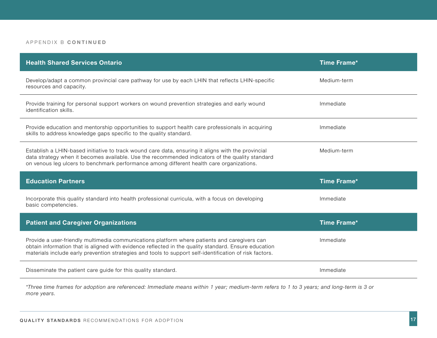#### APPENDIX B **CONTINUED**

| <b>Health Shared Services Ontario</b>                                                                                                                                                                                                                                                                           | <b>Time Frame*</b> |
|-----------------------------------------------------------------------------------------------------------------------------------------------------------------------------------------------------------------------------------------------------------------------------------------------------------------|--------------------|
| Develop/adapt a common provincial care pathway for use by each LHIN that reflects LHIN-specific<br>resources and capacity.                                                                                                                                                                                      | Medium-term        |
| Provide training for personal support workers on wound prevention strategies and early wound<br>identification skills.                                                                                                                                                                                          | Immediate          |
| Provide education and mentorship opportunities to support health care professionals in acquiring<br>skills to address knowledge gaps specific to the quality standard.                                                                                                                                          | Immediate          |
| Establish a LHIN-based initiative to track wound care data, ensuring it aligns with the provincial<br>data strategy when it becomes available. Use the recommended indicators of the quality standard<br>on venous leg ulcers to benchmark performance among different health care organizations.               | Medium-term        |
|                                                                                                                                                                                                                                                                                                                 |                    |
| <b>Education Partners</b>                                                                                                                                                                                                                                                                                       | <b>Time Frame*</b> |
| Incorporate this quality standard into health professional curricula, with a focus on developing<br>basic competencies.                                                                                                                                                                                         | Immediate          |
| <b>Patient and Caregiver Organizations</b>                                                                                                                                                                                                                                                                      | <b>Time Frame*</b> |
| Provide a user-friendly multimedia communications platform where patients and caregivers can<br>obtain information that is aligned with evidence reflected in the quality standard. Ensure education<br>materials include early prevention strategies and tools to support self-identification of risk factors. | Immediate          |
| Disseminate the patient care guide for this quality standard.                                                                                                                                                                                                                                                   | Immediate          |

*\*Three time frames for adoption are referenced: Immediate means within 1 year; medium-term refers to 1 to 3 years; and long-term is 3 or more years.*